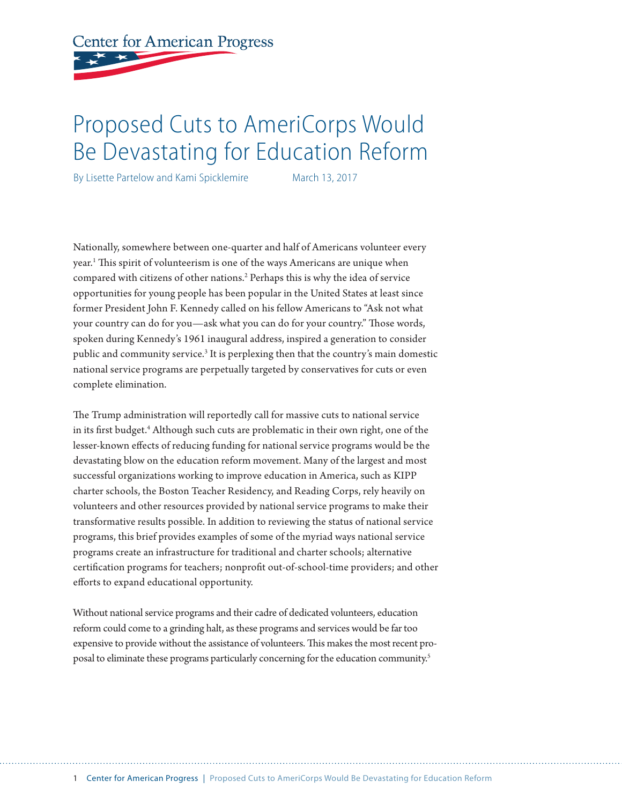**Center for American Progress** 

# Proposed Cuts to AmeriCorps Would Be Devastating for Education Reform

By Lisette Partelow and Kami Spicklemire March 13, 2017

Nationally, somewhere between one-quarter and half of Americans volunteer every year.1 This spirit of volunteerism is one of the ways Americans are unique when compared with citizens of other nations.<sup>2</sup> Perhaps this is why the idea of service opportunities for young people has been popular in the United States at least since former President John F. Kennedy called on his fellow Americans to "Ask not what your country can do for you—ask what you can do for your country." Those words, spoken during Kennedy's 1961 inaugural address, inspired a generation to consider public and community service.<sup>3</sup> It is perplexing then that the country's main domestic national service programs are perpetually targeted by conservatives for cuts or even complete elimination.

The Trump administration will reportedly call for massive cuts to national service in its first budget.<sup>4</sup> Although such cuts are problematic in their own right, one of the lesser-known effects of reducing funding for national service programs would be the devastating blow on the education reform movement. Many of the largest and most successful organizations working to improve education in America, such as KIPP charter schools, the Boston Teacher Residency, and Reading Corps, rely heavily on volunteers and other resources provided by national service programs to make their transformative results possible. In addition to reviewing the status of national service programs, this brief provides examples of some of the myriad ways national service programs create an infrastructure for traditional and charter schools; alternative certification programs for teachers; nonprofit out-of-school-time providers; and other efforts to expand educational opportunity.

Without national service programs and their cadre of dedicated volunteers, education reform could come to a grinding halt, as these programs and services would be far too expensive to provide without the assistance of volunteers. This makes the most recent proposal to eliminate these programs particularly concerning for the education community.<sup>5</sup>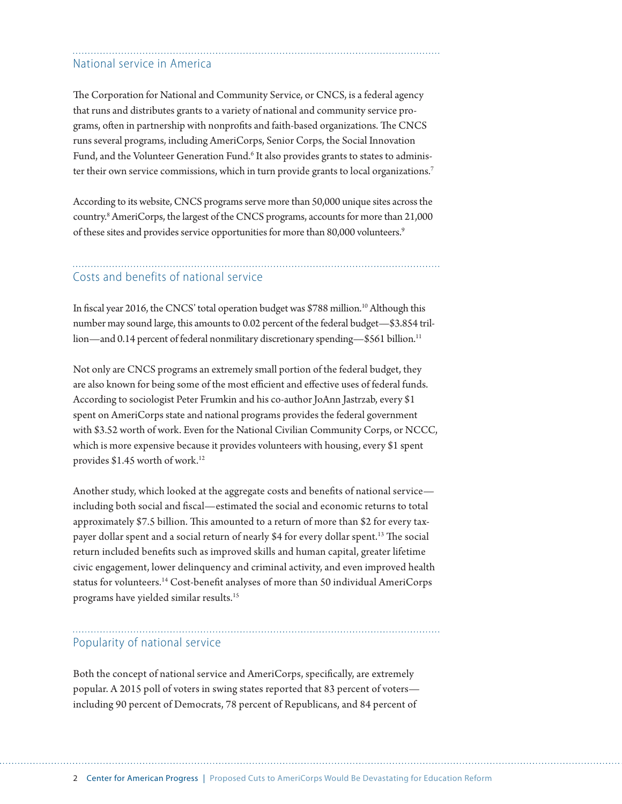# National service in America

The Corporation for National and Community Service, or CNCS, is a federal agency that runs and distributes grants to a variety of national and community service programs, often in partnership with nonprofits and faith-based organizations. The CNCS runs several programs, including AmeriCorps, Senior Corps, the Social Innovation Fund, and the Volunteer Generation Fund.<sup>6</sup> It also provides grants to states to administer their own service commissions, which in turn provide grants to local organizations.<sup>7</sup>

According to its website, CNCS programs serve more than 50,000 unique sites across the country.8 AmeriCorps, the largest of the CNCS programs, accounts for more than 21,000 of these sites and provides service opportunities for more than 80,000 volunteers.<sup>9</sup>

# Costs and benefits of national service

In fiscal year 2016, the CNCS' total operation budget was \$788 million.<sup>10</sup> Although this number may sound large, this amounts to 0.02 percent of the federal budget—\$3.854 trillion—and 0.14 percent of federal nonmilitary discretionary spending—\$561 billion.<sup>11</sup>

Not only are CNCS programs an extremely small portion of the federal budget, they are also known for being some of the most efficient and effective uses of federal funds. According to sociologist Peter Frumkin and his co-author JoAnn Jastrzab, every \$1 spent on AmeriCorps state and national programs provides the federal government with \$3.52 worth of work. Even for the National Civilian Community Corps, or NCCC, which is more expensive because it provides volunteers with housing, every \$1 spent provides \$1.45 worth of work.12

Another study, which looked at the aggregate costs and benefits of national service including both social and fiscal—estimated the social and economic returns to total approximately \$7.5 billion. This amounted to a return of more than \$2 for every taxpayer dollar spent and a social return of nearly \$4 for every dollar spent.<sup>13</sup> The social return included benefits such as improved skills and human capital, greater lifetime civic engagement, lower delinquency and criminal activity, and even improved health status for volunteers.14 Cost-benefit analyses of more than 50 individual AmeriCorps programs have yielded similar results.15

#### Popularity of national service

Both the concept of national service and AmeriCorps, specifically, are extremely popular. A 2015 poll of voters in swing states reported that 83 percent of voters including 90 percent of Democrats, 78 percent of Republicans, and 84 percent of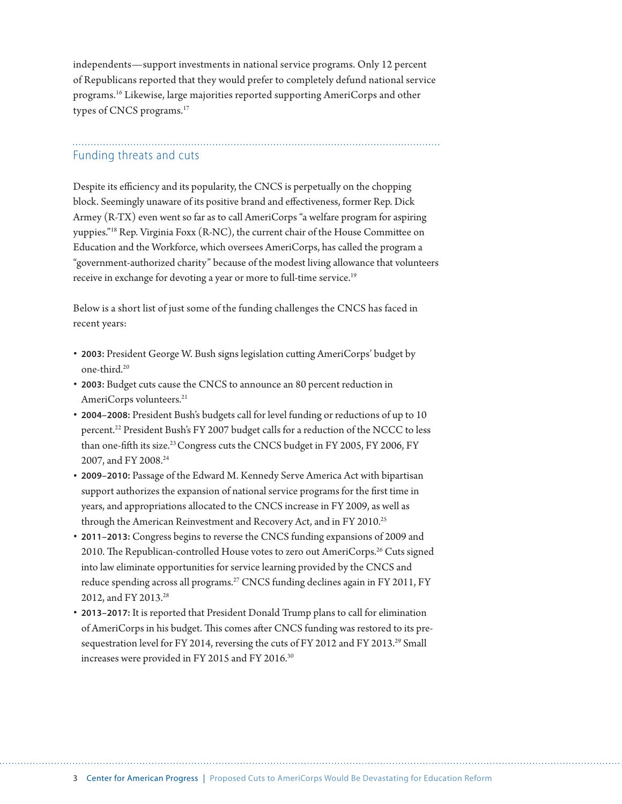independents—support investments in national service programs. Only 12 percent of Republicans reported that they would prefer to completely defund national service programs.16 Likewise, large majorities reported supporting AmeriCorps and other types of CNCS programs.<sup>17</sup>

# Funding threats and cuts

Despite its efficiency and its popularity, the CNCS is perpetually on the chopping block. Seemingly unaware of its positive brand and effectiveness, former Rep. Dick Armey (R-TX) even went so far as to call AmeriCorps "a welfare program for aspiring yuppies."18 Rep. Virginia Foxx (R-NC), the current chair of the House Committee on Education and the Workforce, which oversees AmeriCorps, has called the program a "government-authorized charity" because of the modest living allowance that volunteers receive in exchange for devoting a year or more to full-time service.<sup>19</sup>

Below is a short list of just some of the funding challenges the CNCS has faced in recent years:

- **2003:** President George W. Bush signs legislation cutting AmeriCorps' budget by one-third.20
- **2003:** Budget cuts cause the CNCS to announce an 80 percent reduction in AmeriCorps volunteers.<sup>21</sup>
- **2004–2008:** President Bush's budgets call for level funding or reductions of up to 10 percent.<sup>22</sup> President Bush's FY 2007 budget calls for a reduction of the NCCC to less than one-fifth its size.<sup>23</sup> Congress cuts the CNCS budget in FY 2005, FY 2006, FY 2007, and FY 2008.<sup>24</sup>
- **2009–2010:** Passage of the Edward M. Kennedy Serve America Act with bipartisan support authorizes the expansion of national service programs for the first time in years, and appropriations allocated to the CNCS increase in FY 2009, as well as through the American Reinvestment and Recovery Act, and in FY 2010.<sup>25</sup>
- **2011–2013:** Congress begins to reverse the CNCS funding expansions of 2009 and 2010. The Republican-controlled House votes to zero out AmeriCorps.<sup>26</sup> Cuts signed into law eliminate opportunities for service learning provided by the CNCS and reduce spending across all programs.<sup>27</sup> CNCS funding declines again in FY 2011, FY 2012, and FY 2013.<sup>28</sup>
- **2013–2017:** It is reported that President Donald Trump plans to call for elimination of AmeriCorps in his budget. This comes after CNCS funding was restored to its presequestration level for FY 2014, reversing the cuts of FY 2012 and FY 2013.<sup>29</sup> Small increases were provided in FY 2015 and FY 2016.30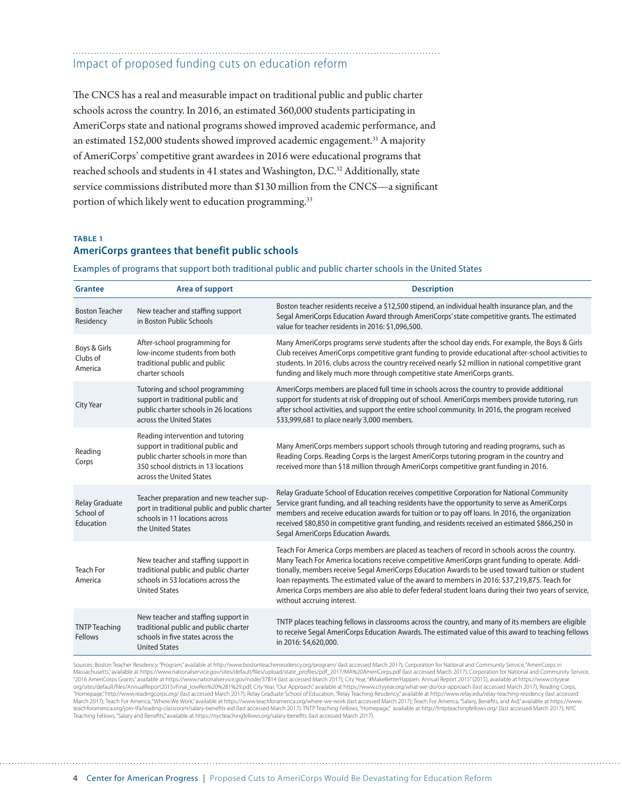### Impact of proposed funding cuts on education reform

The CNCS has a real and measurable impact on traditional public and public charter schools across the country. In 2016, an estimated 360,000 students participating in AmeriCorps state and national programs showed improved academic performance, and an estimated 152,000 students showed improved academic engagement.<sup>31</sup> A majority of AmeriCorps' competitive grant awardees in 2016 were educational programs that reached schools and students in 41 states and Washington, D.C.32 Additionally, state service commissions distributed more than \$130 million from the CNCS—a significant portion of which likely went to education programming.<sup>33</sup>

#### **TABLE 1 AmeriCorps grantees that benefit public schools**

Examples of programs that support both traditional public and public charter schools in the United States

| <b>Grantee</b>                           | Area of support                                                                                                                                                                   | <b>Description</b>                                                                                                                                                                                                                                                                                                                                                                                                                                                                                                                             |
|------------------------------------------|-----------------------------------------------------------------------------------------------------------------------------------------------------------------------------------|------------------------------------------------------------------------------------------------------------------------------------------------------------------------------------------------------------------------------------------------------------------------------------------------------------------------------------------------------------------------------------------------------------------------------------------------------------------------------------------------------------------------------------------------|
| <b>Boston Teacher</b><br>Residency       | New teacher and staffing support<br>in Boston Public Schools                                                                                                                      | Boston teacher residents receive a \$12,500 stipend, an individual health insurance plan, and the<br>Segal AmeriCorps Education Award through AmeriCorps' state competitive grants. The estimated<br>value for teacher residents in 2016: \$1,096,500.                                                                                                                                                                                                                                                                                         |
| Boys & Girls<br>Clubs of<br>America      | After-school programming for<br>low-income students from both<br>traditional public and public<br>charter schools                                                                 | Many AmeriCorps programs serve students after the school day ends. For example, the Boys & Girls<br>Club receives AmeriCorps competitive grant funding to provide educational after-school activities to<br>students. In 2016, clubs across the country received nearly \$2 million in national competitive grant<br>funding and likely much more through competitive state AmeriCorps grants.                                                                                                                                                 |
| City Year                                | Tutoring and school programming<br>support in traditional public and<br>public charter schools in 26 locations<br>across the United States                                        | AmeriCorps members are placed full time in schools across the country to provide additional<br>support for students at risk of dropping out of school. AmeriCorps members provide tutoring, run<br>after school activities, and support the entire school community. In 2016, the program received<br>\$33,999,681 to place nearly 3,000 members.                                                                                                                                                                                              |
| Reading<br>Corps                         | Reading intervention and tutoring<br>support in traditional public and<br>public charter schools in more than<br>350 school districts in 13 locations<br>across the United States | Many AmeriCorps members support schools through tutoring and reading programs, such as<br>Reading Corps. Reading Corps is the largest AmeriCorps tutoring program in the country and<br>received more than \$18 million through AmeriCorps competitive grant funding in 2016.                                                                                                                                                                                                                                                                  |
| Relay Graduate<br>School of<br>Education | Teacher preparation and new teacher sup-<br>port in traditional public and public charter<br>schools in 11 locations across<br>the United States                                  | Relay Graduate School of Education receives competitive Corporation for National Community<br>Service grant funding, and all teaching residents have the opportunity to serve as AmeriCorps<br>members and receive education awards for tuition or to pay off loans. In 2016, the organization<br>received \$80,850 in competitive grant funding, and residents received an estimated \$866,250 in<br>Segal AmeriCorps Education Awards.                                                                                                       |
| <b>Teach For</b><br>America              | New teacher and staffing support in<br>traditional public and public charter<br>schools in 53 locations across the<br><b>United States</b>                                        | Teach For America Corps members are placed as teachers of record in schools across the country.<br>Many Teach For America locations receive competitive AmeriCorps grant funding to operate. Addi-<br>tionally, members receive Segal AmeriCorps Education Awards to be used toward tuition or student<br>loan repayments. The estimated value of the award to members in 2016: \$37,219,875. Teach for<br>America Corps members are also able to defer federal student loans during their two years of service,<br>without accruing interest. |
| <b>TNTP Teaching</b><br>Fellows          | New teacher and staffing support in<br>traditional public and public charter<br>schools in five states across the<br><b>United States</b>                                         | TNTP places teaching fellows in classrooms across the country, and many of its members are eligible<br>to receive Segal AmeriCorps Education Awards. The estimated value of this award to teaching fellows<br>in 2016: \$4,620,000.                                                                                                                                                                                                                                                                                                            |

Sources: Boston Teacher Residency, "Program," available at http://www.bostonteacherresidency.org/program/ (last accessed March 2017); Corporation for National and Community Service, "AmeriCorps in Massachusetts," available at https://www.nationalservice.gov/sites/default/files/upload/state\_profiles/pdf\_2017/MA%20AmeriCorps.pdf (last accessed March 2017); Corporation for National and Community Service, "2016 AmeriCorps Grants," available at https://www.nationalservice.gov/node/37814 (last accessed March 2017); City Year, "#MakeBetterHappen: Annual Report 2015" (2015), available at https://www.cityyear. org/sites/default/files/AnnualReport2015vFinal\_lowRes%20%281%29.pdf; City Year,"Our Approach,"available at https://www.cityyear.org/what-we-do/our-approach (last accessed March 2017); Reading Corps,<br>"Homepage,"http://www.r March 2017); Teach For America, "Where We Work," available at https://www.teachforamerica.org/where-we-work (last accessed March 2017); Teach For America, "Salary, Benefits, and Aid," available at https://www.<br>teachforamer Teaching Fellows, "Salary and Benefits," available at https://nycteachingfellows.org/salary-benefits (last accessed March 2017).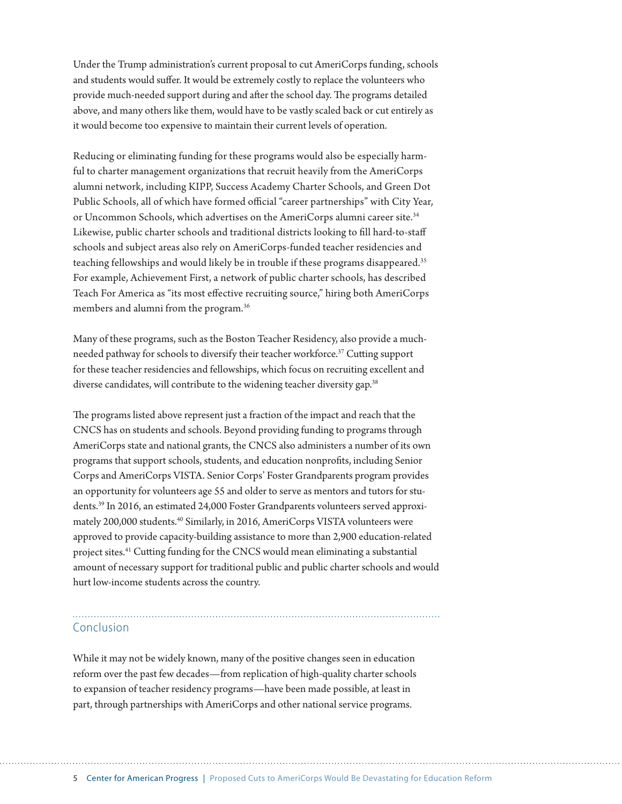Under the Trump administration's current proposal to cut AmeriCorps funding, schools and students would suffer. It would be extremely costly to replace the volunteers who provide much-needed support during and after the school day. The programs detailed above, and many others like them, would have to be vastly scaled back or cut entirely as it would become too expensive to maintain their current levels of operation.

Reducing or eliminating funding for these programs would also be especially harmful to charter management organizations that recruit heavily from the AmeriCorps alumni network, including KIPP, Success Academy Charter Schools, and Green Dot Public Schools, all of which have formed official "career partnerships" with City Year, or Uncommon Schools, which advertises on the AmeriCorps alumni career site.<sup>34</sup> Likewise, public charter schools and traditional districts looking to fill hard-to-staff schools and subject areas also rely on AmeriCorps-funded teacher residencies and teaching fellowships and would likely be in trouble if these programs disappeared.<sup>35</sup> For example, Achievement First, a network of public charter schools, has described Teach For America as "its most effective recruiting source," hiring both AmeriCorps members and alumni from the program.<sup>36</sup>

Many of these programs, such as the Boston Teacher Residency, also provide a muchneeded pathway for schools to diversify their teacher workforce.<sup>37</sup> Cutting support for these teacher residencies and fellowships, which focus on recruiting excellent and diverse candidates, will contribute to the widening teacher diversity gap.<sup>38</sup>

The programs listed above represent just a fraction of the impact and reach that the CNCS has on students and schools. Beyond providing funding to programs through AmeriCorps state and national grants, the CNCS also administers a number of its own programs that support schools, students, and education nonprofits, including Senior Corps and AmeriCorps VISTA. Senior Corps' Foster Grandparents program provides an opportunity for volunteers age 55 and older to serve as mentors and tutors for students.39 In 2016, an estimated 24,000 Foster Grandparents volunteers served approximately 200,000 students.<sup>40</sup> Similarly, in 2016, AmeriCorps VISTA volunteers were approved to provide capacity-building assistance to more than 2,900 education-related project sites.41 Cutting funding for the CNCS would mean eliminating a substantial amount of necessary support for traditional public and public charter schools and would hurt low-income students across the country.

#### Conclusion

While it may not be widely known, many of the positive changes seen in education reform over the past few decades—from replication of high-quality charter schools to expansion of teacher residency programs—have been made possible, at least in part, through partnerships with AmeriCorps and other national service programs.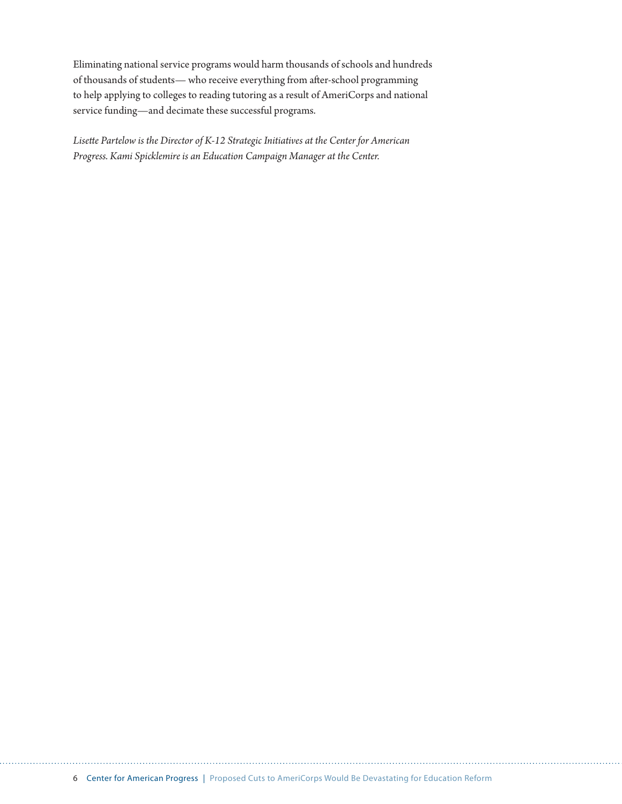Eliminating national service programs would harm thousands of schools and hundreds of thousands of students— who receive everything from after-school programming to help applying to colleges to reading tutoring as a result of AmeriCorps and national service funding—and decimate these successful programs.

*Lisette Partelow is the Director of K-12 Strategic Initiatives at the Center for American Progress. Kami Spicklemire is an Education Campaign Manager at the Center.*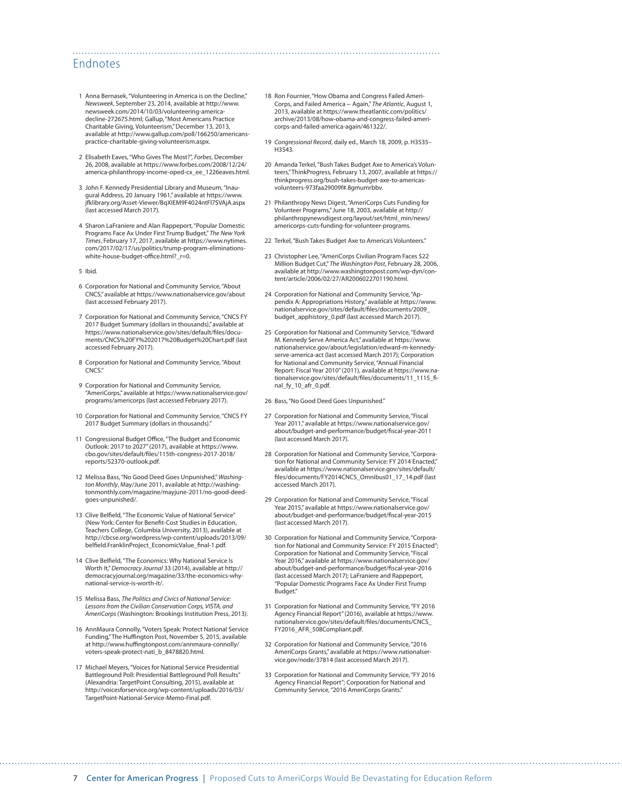#### Endnotes

- 1 Anna Bernasek, "Volunteering in America is on the Decline," *Newsweek*, September 23, 2014, available at [http://www.](http://www.newsweek.com/2014/10/03/volunteering-america-decline-272675.html) [newsweek.com/2014/10/03/volunteering-america](http://www.newsweek.com/2014/10/03/volunteering-america-decline-272675.html)[decline-272675.html;](http://www.newsweek.com/2014/10/03/volunteering-america-decline-272675.html) Gallup, "Most Americans Practice Charitable Giving, Volunteerism," December 13, 2013, available at [http://www.gallup.com/poll/166250/americans](http://www.gallup.com/poll/166250/americans-practice-charitable-giving-volunteerism.aspx)[practice-charitable-giving-volunteerism.aspx.](http://www.gallup.com/poll/166250/americans-practice-charitable-giving-volunteerism.aspx)
- 2 Elisabeth Eaves, "Who Gives The Most?", *Forbes*, December 26, 2008, available at [https://www.forbes.com/2008/12/24/](https://www.forbes.com/2008/12/24/america-philanthropy-income-oped-cx_ee_1226eaves.html) [america-philanthropy-income-oped-cx\\_ee\\_1226eaves.html.](https://www.forbes.com/2008/12/24/america-philanthropy-income-oped-cx_ee_1226eaves.html)
- 3 John F. Kennedy Presidential Library and Museum, "Inaugural Address, 20 January 1961," available at [https://www.](https://www.jfklibrary.org/Asset-Viewer/BqXIEM9F4024ntFl7SVAjA.aspx) [jfklibrary.org/Asset-Viewer/BqXIEM9F4024ntFl7SVAjA.aspx](https://www.jfklibrary.org/Asset-Viewer/BqXIEM9F4024ntFl7SVAjA.aspx) (last accessed March 2017).
- 4 Sharon LaFraniere and Alan Rappeport, "Popular Domestic Programs Face Ax Under First Trump Budget," *The New York Times*, February 17, 2017, available at [https://www.nytimes.](https://www.nytimes.com/2017/02/17/us/politics/trump-program-eliminations-white-house-budget-office.html?_r=0) [com/2017/02/17/us/politics/trump-program-eliminations](https://www.nytimes.com/2017/02/17/us/politics/trump-program-eliminations-white-house-budget-office.html?_r=0)white-house-budget-office.html? r=0.
- 5 Ibid.
- 6 Corporation for National and Community Service, "About CNCS," available at <https://www.nationalservice.gov/about> (last accessed February 2017).
- 7 Corporation for National and Community Service, "CNCS FY 2017 Budget Summary (dollars in thousands)," available at [https://www.nationalservice.gov/sites/default/files/docu](https://www.nationalservice.gov/sites/default/files/documents/CNCS%20FY%202017%20Budget%20Chart.pdf)[ments/CNCS%20FY%202017%20Budget%20Chart.pdf](https://www.nationalservice.gov/sites/default/files/documents/CNCS%20FY%202017%20Budget%20Chart.pdf) (last accessed February 2017).
- 8 Corporation for National and Community Service, "About CNCS."
- 9 Corporation for National and Community Service, "AmeriCorps," available at [https://www.nationalservice.gov/](https://www.nationalservice.gov/programs/americorps) [programs/americorps](https://www.nationalservice.gov/programs/americorps) (last accessed February 2017).
- 10 Corporation for National and Community Service, "CNCS FY 2017 Budget Summary (dollars in thousands)."
- 11 Congressional Budget Office, "The Budget and Economic Outlook: 2017 to 2027" (2017), available at [https://www.](https://www.cbo.gov/sites/default/files/115th-congress-2017-2018/reports/52370-outlook.pdf) [cbo.gov/sites/default/files/115th-congress-2017-2018/](https://www.cbo.gov/sites/default/files/115th-congress-2017-2018/reports/52370-outlook.pdf) [reports/52370-outlook.pdf](https://www.cbo.gov/sites/default/files/115th-congress-2017-2018/reports/52370-outlook.pdf).
- 12 Melissa Bass, "No Good Deed Goes Unpunished," *Washington Monthly*, May/June 2011, available at [http://washing](http://washingtonmonthly.com/magazine/mayjune-2011/no-good-deed-goes-unpunished/)[tonmonthly.com/magazine/mayjune-2011/no-good-deed](http://washingtonmonthly.com/magazine/mayjune-2011/no-good-deed-goes-unpunished/)[goes-unpunished/](http://washingtonmonthly.com/magazine/mayjune-2011/no-good-deed-goes-unpunished/).
- 13 Clive Belfield, "The Economic Value of National Service" (New York: Center for Benefit-Cost Studies in Education, Teachers College, Columbia University, 2013), available at [http://cbcse.org/wordpress/wp-content/uploads/2013/09/](http://cbcse.org/wordpress/wp-content/uploads/2013/09/belfield.FranklinProject_EconomicValue_final-1.pdf) [belfield.FranklinProject\\_EconomicValue\\_final-1.pdf.](http://cbcse.org/wordpress/wp-content/uploads/2013/09/belfield.FranklinProject_EconomicValue_final-1.pdf)
- 14 Clive Belfield, "The Economics: Why National Service Is Worth It," *Democracy Journal* 33 (2014), available at [http://](http://democracyjournal.org/magazine/33/the-economics-why-national-service-is-worth-it/) [democracyjournal.org/magazine/33/the-economics-why](http://democracyjournal.org/magazine/33/the-economics-why-national-service-is-worth-it/)[national-service-is-worth-it/.](http://democracyjournal.org/magazine/33/the-economics-why-national-service-is-worth-it/)
- 15 Melissa Bass, *The Politics and Civics of National Service: Lessons from the Civilian Conservation Corps, VISTA, and AmeriCorps* (Washington: Brookings Institution Press, 2013).
- 16 AnnMaura Connolly, "Voters Speak: Protect National Service Funding," The Huffington Post, November 5, 2015, available at [http://www.huffingtonpost.com/annmaura-connolly/](http://www.huffingtonpost.com/annmaura-connolly/voters-speak-protect-nati_b_8478820.html) [voters-speak-protect-nati\\_b\\_8478820.html](http://www.huffingtonpost.com/annmaura-connolly/voters-speak-protect-nati_b_8478820.html).
- 17 Michael Meyers, "Voices for National Service Presidential Battleground Poll: Presidential Battleground Poll Results" (Alexandria: TargetPoint Consulting, 2015), available at [http://voicesforservice.org/wp-content/uploads/2016/03/](http://voicesforservice.org/wp-content/uploads/2016/03/TargetPoint-National-Service-Memo-Final.pdf) [TargetPoint-National-Service-Memo-Final.pdf.](http://voicesforservice.org/wp-content/uploads/2016/03/TargetPoint-National-Service-Memo-Final.pdf)

18 Ron Fournier, "How Obama and Congress Failed Ameri-Corps, and Failed America – Again," *The Atlantic*, August 1, 2013, available at [https://www.theatlantic.com/politics/](https://www.theatlantic.com/politics/archive/2013/08/how-obama-and-congress-failed-americorps-and-failed-america-again/461322/) [archive/2013/08/how-obama-and-congress-failed-ameri](https://www.theatlantic.com/politics/archive/2013/08/how-obama-and-congress-failed-americorps-and-failed-america-again/461322/)[corps-and-failed-america-again/461322/.](https://www.theatlantic.com/politics/archive/2013/08/how-obama-and-congress-failed-americorps-and-failed-america-again/461322/)

- 19 *Congressional Record*, daily ed., March 18, 2009, p. H3535–  $H3543$
- 20 Amanda Terkel, "Bush Takes Budget Axe to America's Volunteers," ThinkProgress, February 13, 2007, available at https:// thinkprogress.org/bush-takes-budget-axe-to-americasvolunteers-973faa29009f#.8gmumrbbv.
- 21 Philanthropy News Digest, "AmeriCorps Cuts Funding for Volunteer Programs," June 18, 2003, available at [http://](http://philanthropynewsdigest.org/layout/set/html_min/news/americorps-cuts-funding-for-volunteer-programs) [philanthropynewsdigest.org/layout/set/html\\_min/news/](http://philanthropynewsdigest.org/layout/set/html_min/news/americorps-cuts-funding-for-volunteer-programs) [americorps-cuts-funding-for-volunteer-programs](http://philanthropynewsdigest.org/layout/set/html_min/news/americorps-cuts-funding-for-volunteer-programs).
- 22 Terkel, "Bush Takes Budget Axe to America's Volunteers."
- 23 Christopher Lee, "AmeriCorps Civilian Program Faces \$22 Million Budget Cut," *The Washington Post*, February 28, 2006, available at [http://www.washingtonpost.com/wp-dyn/con](http://www.washingtonpost.com/wp-dyn/content/article/2006/02/27/AR2006022701190.html)[tent/article/2006/02/27/AR2006022701190.html.](http://www.washingtonpost.com/wp-dyn/content/article/2006/02/27/AR2006022701190.html)
- 24 Corporation for National and Community Service, "Appendix A: Appropriations History," available at [https://www.](https://www.nationalservice.gov/sites/default/files/documents/2009_budget_apphistory_0.pdf) [nationalservice.gov/sites/default/files/documents/2009\\_](https://www.nationalservice.gov/sites/default/files/documents/2009_budget_apphistory_0.pdf) [budget\\_apphistory\\_0.pdf](https://www.nationalservice.gov/sites/default/files/documents/2009_budget_apphistory_0.pdf) (last accessed March 2017).
- 25 Corporation for National and Community Service, "Edward M. Kennedy Serve America Act," available at [https://www.](https://www.nationalservice.gov/about/legislation/edward-m-kennedy-serve-america-act) [nationalservice.gov/about/legislation/edward-m-kennedy](https://www.nationalservice.gov/about/legislation/edward-m-kennedy-serve-america-act)[serve-america-act](https://www.nationalservice.gov/about/legislation/edward-m-kennedy-serve-america-act) (last accessed March 2017); Corporation for National and Community Service, "Annual Financial Report: Fiscal Year 2010" (2011), available at [https://www.na](https://www.nationalservice.gov/sites/default/files/documents/11_1115_final_fy_10_afr_0.pdf)[tionalservice.gov/sites/default/files/documents/11\\_1115\\_fi](https://www.nationalservice.gov/sites/default/files/documents/11_1115_final_fy_10_afr_0.pdf)[nal\\_fy\\_10\\_afr\\_0.pdf](https://www.nationalservice.gov/sites/default/files/documents/11_1115_final_fy_10_afr_0.pdf).

26 Bass, "No Good Deed Goes Unpunished."

- 27 Corporation for National and Community Service, "Fiscal Year 2011," available at [https://www.nationalservice.gov/](https://www.nationalservice.gov/about/budget-and-performance/budget/fiscal-year-2011) [about/budget-and-performance/budget/fiscal-year-2011](https://www.nationalservice.gov/about/budget-and-performance/budget/fiscal-year-2011) (last accessed March 2017).
- 28 Corporation for National and Community Service, "Corporation for National and Community Service: FY 2014 Enacted," available at [https://www.nationalservice.gov/sites/default/](https://www.nationalservice.gov/sites/default/files/documents/FY2014CNCS_Omnibus01_17_14.pdf) [files/documents/FY2014CNCS\\_Omnibus01\\_17\\_14.pdf](https://www.nationalservice.gov/sites/default/files/documents/FY2014CNCS_Omnibus01_17_14.pdf) (last accessed March 2017).
- 29 Corporation for National and Community Service, "Fiscal Year 2015," available at [https://www.nationalservice.gov/](https://www.nationalservice.gov/about/budget-and-performance/budget/fiscal-year-2015) [about/budget-and-performance/budget/fiscal-year-2015](https://www.nationalservice.gov/about/budget-and-performance/budget/fiscal-year-2015) (last accessed March 2017).
- 30 Corporation for National and Community Service, "Corporation for National and Community Service: FY 2015 Enacted"; Corporation for National and Community Service, "Fiscal Year 2016," available at [https://www.nationalservice.gov/](https://www.nationalservice.gov/about/budget-and-performance/budget/fiscal-year-2016) [about/budget-and-performance/budget/fiscal-year-2016](https://www.nationalservice.gov/about/budget-and-performance/budget/fiscal-year-2016) (last accessed March 2017); LaFraniere and Rappeport, "Popular Domestic Programs Face Ax Under First Trump Budget."
- 31 Corporation for National and Community Service, "FY 2016 Agency Financial Report" (2016), available at [https://www.](https://www.nationalservice.gov/sites/default/files/documents/CNCS_FY2016_AFR_508Compliant.pdf) [nationalservice.gov/sites/default/files/documents/CNCS\\_](https://www.nationalservice.gov/sites/default/files/documents/CNCS_FY2016_AFR_508Compliant.pdf) [FY2016\\_AFR\\_508Compliant.pdf](https://www.nationalservice.gov/sites/default/files/documents/CNCS_FY2016_AFR_508Compliant.pdf).
- 32 Corporation for National and Community Service, "2016 AmeriCorps Grants," available at [https://www.nationalser](https://www.nationalservice.gov/node/37814)[vice.gov/node/37814](https://www.nationalservice.gov/node/37814) (last accessed March 2017).
- 33 Corporation for National and Community Service, "FY 2016 Agency Financial Report"; Corporation for National and Community Service, "2016 AmeriCorps Grants."